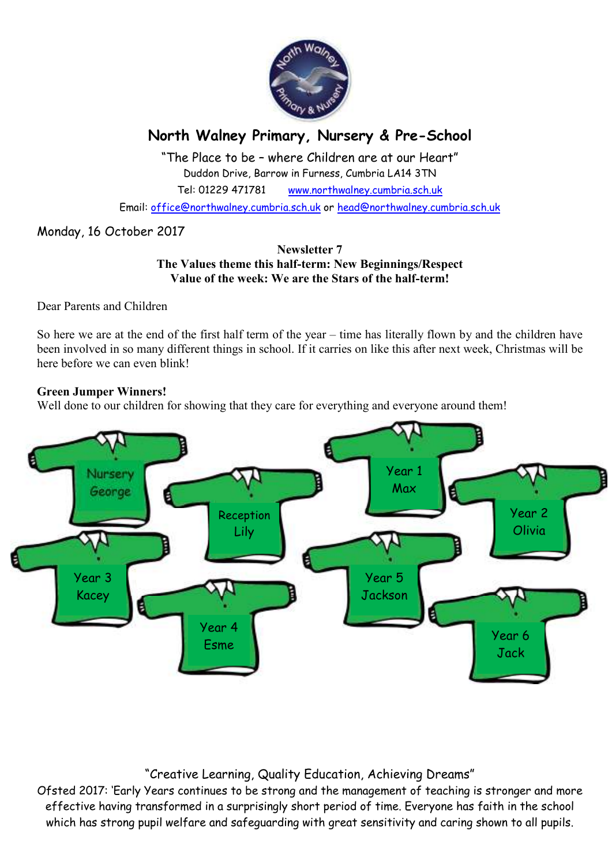

# **North Walney Primary, Nursery & Pre-School**

"The Place to be – where Children are at our Heart" Duddon Drive, Barrow in Furness, Cumbria LA14 3TN Tel: 01229 471781 www.northwalney.cumbria.sch.uk

Email: office@northwalney.cumbria.sch.uk or head@northwalney.cumbria.sch.uk

# Monday, 16 October 2017

#### **Newsletter 7 The Values theme this half-term: New Beginnings/Respect Value of the week: We are the Stars of the half-term!**

Dear Parents and Children

So here we are at the end of the first half term of the year – time has literally flown by and the children have been involved in so many different things in school. If it carries on like this after next week, Christmas will be here before we can even blink!

#### **Green Jumper Winners!**

Well done to our children for showing that they care for everything and everyone around them!



# "Creative Learning, Quality Education, Achieving Dreams"

Ofsted 2017: 'Early Years continues to be strong and the management of teaching is stronger and more effective having transformed in a surprisingly short period of time. Everyone has faith in the school which has strong pupil welfare and safeguarding with great sensitivity and caring shown to all pupils.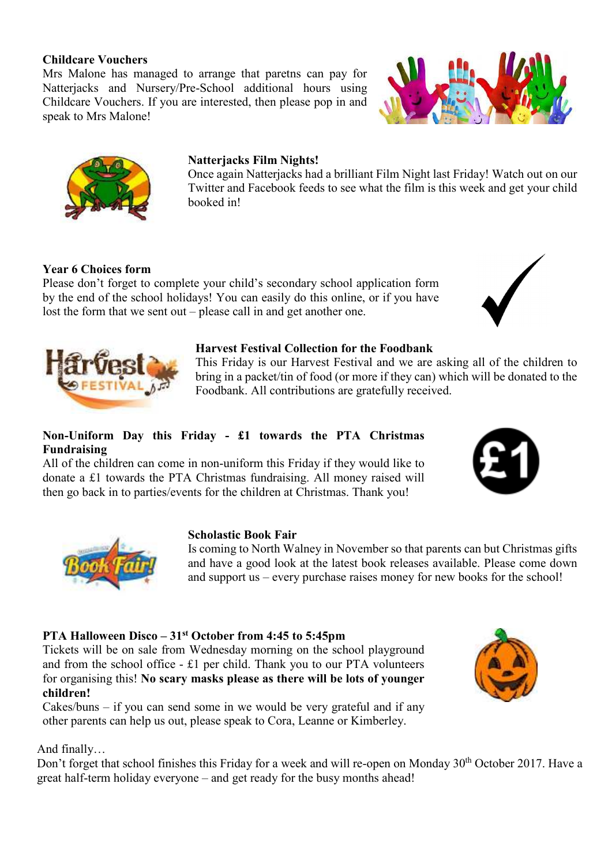#### **Childcare Vouchers**

Mrs Malone has managed to arrange that paretns can pay for Natterjacks and Nursery/Pre-School additional hours using Childcare Vouchers. If you are interested, then please pop in and speak to Mrs Malone!





# **Natterjacks Film Nights!**

Once again Natterjacks had a brilliant Film Night last Friday! Watch out on our Twitter and Facebook feeds to see what the film is this week and get your child booked in!

### **Year 6 Choices form**

Please don't forget to complete your child's secondary school application form by the end of the school holidays! You can easily do this online, or if you have lost the form that we sent out – please call in and get another one.





#### **Harvest Festival Collection for the Foodbank**

This Friday is our Harvest Festival and we are asking all of the children to bring in a packet/tin of food (or more if they can) which will be donated to the Foodbank. All contributions are gratefully received.

### **Non-Uniform Day this Friday - £1 towards the PTA Christmas Fundraising**

All of the children can come in non-uniform this Friday if they would like to donate a £1 towards the PTA Christmas fundraising. All money raised will then go back in to parties/events for the children at Christmas. Thank you!





#### **Scholastic Book Fair**

Is coming to North Walney in November so that parents can but Christmas gifts and have a good look at the latest book releases available. Please come down and support us – every purchase raises money for new books for the school!

#### **PTA Halloween Disco – 31st October from 4:45 to 5:45pm**

Tickets will be on sale from Wednesday morning on the school playground and from the school office - £1 per child. Thank you to our PTA volunteers for organising this! **No scary masks please as there will be lots of younger children!** 

Cakes/buns – if you can send some in we would be very grateful and if any other parents can help us out, please speak to Cora, Leanne or Kimberley.



#### And finally…

Don't forget that school finishes this Friday for a week and will re-open on Monday 30<sup>th</sup> October 2017. Have a great half-term holiday everyone – and get ready for the busy months ahead!